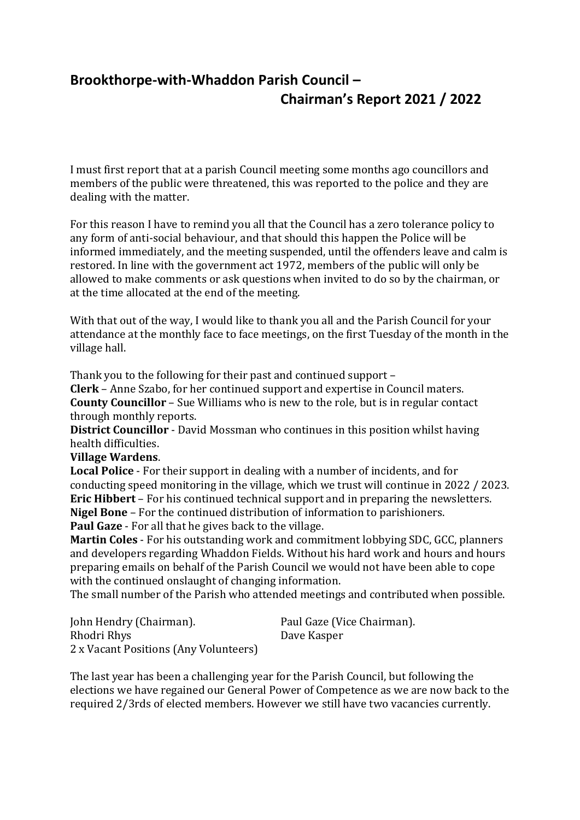## **Brookthorpe-with-Whaddon Parish Council – Chairman's Report 2021 / 2022**

I must first report that at a parish Council meeting some months ago councillors and members of the public were threatened, this was reported to the police and they are dealing with the matter.

For this reason I have to remind you all that the Council has a zero tolerance policy to any form of anti-social behaviour, and that should this happen the Police will be informed immediately, and the meeting suspended, until the offenders leave and calm is restored. In line with the government act 1972, members of the public will only be allowed to make comments or ask questions when invited to do so by the chairman, or at the time allocated at the end of the meeting.

With that out of the way, I would like to thank you all and the Parish Council for your attendance at the monthly face to face meetings, on the first Tuesday of the month in the village hall.

Thank you to the following for their past and continued support –

**Clerk** – Anne Szabo, for her continued support and expertise in Council maters. **County Councillor** – Sue Williams who is new to the role, but is in regular contact through monthly reports.

**District Councillor** - David Mossman who continues in this position whilst having health difficulties.

**Village Wardens**.

**Local Police** - For their support in dealing with a number of incidents, and for conducting speed monitoring in the village, which we trust will continue in 2022 / 2023. **Eric Hibbert** – For his continued technical support and in preparing the newsletters. **Nigel Bone** – For the continued distribution of information to parishioners. **Paul Gaze** - For all that he gives back to the village.

**Martin Coles** - For his outstanding work and commitment lobbying SDC, GCC, planners and developers regarding Whaddon Fields. Without his hard work and hours and hours preparing emails on behalf of the Parish Council we would not have been able to cope with the continued onslaught of changing information.

The small number of the Parish who attended meetings and contributed when possible.

| John Hendry (Chairman).               | Paul Gaze (Vice Chairman). |
|---------------------------------------|----------------------------|
| Rhodri Rhys                           | Dave Kasper                |
| 2 x Vacant Positions (Any Volunteers) |                            |

The last year has been a challenging year for the Parish Council, but following the elections we have regained our General Power of Competence as we are now back to the required 2/3rds of elected members. However we still have two vacancies currently.